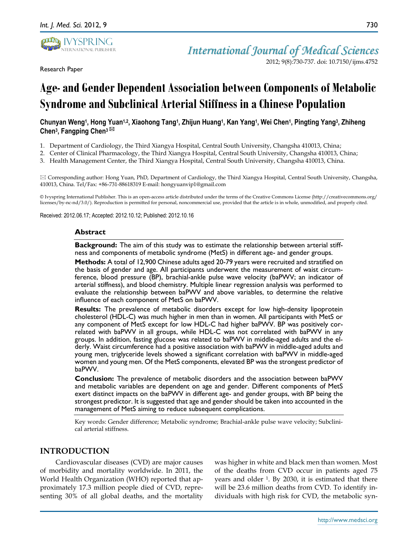

Research Paper

2012; 9(8):730-737. doi: 10.7150/ijms.4752

# **Age-and Gender Dependent Association between Components of Metabolic Syndrome and Subclinical Arterial Stiffness in a Chinese Population**

**Chunyan Weng<sup>1</sup> , Hong Yuan1,2 , Xiaohong Tang<sup>1</sup> , Zhijun Huang<sup>1</sup> , Kan Yang<sup>1</sup> , Wei Chen<sup>1</sup> , Pingting Yang<sup>3</sup> , Zhiheng Chen<sup>3</sup> , Fangping Chen<sup>3</sup>**

- 1. Department of Cardiology, the Third Xiangya Hospital, Central South University, Changsha 410013, China;
- 2. Center of Clinical Pharmacology, the Third Xiangya Hospital, Central South University, Changsha 410013, China;
- 3. Health Management Center, the Third Xiangya Hospital, Central South University, Changsha 410013, China.

 Corresponding author: Hong Yuan, PhD, Department of Cardiology, the Third Xiangya Hospital, Central South University, Changsha, 410013, China. Tel/Fax: +86-731-88618319 E-mail: hongyuanvip1@gmail.com

© Ivyspring International Publisher. This is an open-access article distributed under the terms of the Creative Commons License (http://creativecommons.org/ licenses/by-nc-nd/3.0/). Reproduction is permitted for personal, noncommercial use, provided that the article is in whole, unmodified, and properly cited.

Received: 2012.06.17; Accepted: 2012.10.12; Published: 2012.10.16

#### **Abstract**

**Background:** The aim of this study was to estimate the relationship between arterial stiffness and components of metabolic syndrome (MetS) in different age- and gender groups.

**Methods:** A total of 12,900 Chinese adults aged 20-79 years were recruited and stratified on the basis of gender and age. All participants underwent the measurement of waist circumference, blood pressure (BP), brachial-ankle pulse wave velocity (baPWV; an indicator of arterial stiffness), and blood chemistry. Multiple linear regression analysis was performed to evaluate the relationship between baPWV and above variables, to determine the relative influence of each component of MetS on baPWV.

**Results:** The prevalence of metabolic disorders except for low high-density lipoprotein cholesterol (HDL-C) was much higher in men than in women. All participants with MetS or any component of MetS except for low HDL-C had higher baPWV. BP was positively correlated with baPWV in all groups, while HDL-C was not correlated with baPWV in any groups. In addition, fasting glucose was related to baPWV in middle-aged adults and the elderly. Waist circumference had a positive association with baPWV in middle-aged adults and young men, triglyceride levels showed a significant correlation with baPWV in middle-aged women and young men. Of the MetS components, elevated BP was the strongest predictor of baPWV.

**Conclusion:** The prevalence of metabolic disorders and the association between baPWV and metabolic variables are dependent on age and gender. Different components of MetS exert distinct impacts on the baPWV in different age- and gender groups, with BP being the strongest predictor. It is suggested that age and gender should be taken into accounted in the management of MetS aiming to reduce subsequent complications.

Key words: Gender difference; Metabolic syndrome; Brachial-ankle pulse wave velocity; Subclinical arterial stiffness.

# **INTRODUCTION**

Cardiovascular diseases (CVD) are major causes of morbidity and mortality worldwide. In 2011, the World Health Organization (WHO) reported that approximately 17.3 million people died of CVD, representing 30% of all global deaths, and the mortality was higher in white and black men than women. Most of the deaths from CVD occur in patients aged 75 years and older <sup>1</sup>. By 2030, it is estimated that there will be 23.6 million deaths from CVD. To identify individuals with high risk for CVD, the metabolic syn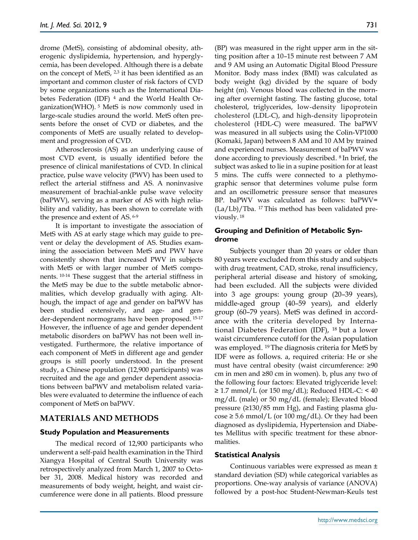drome (MetS), consisting of abdominal obesity, atherogenic dyslipidemia, hypertension, and hyperglycemia, has been developed. Although there is a debate on the concept of MetS, 2,3 it has been identified as an important and common cluster of risk factors of CVD by some organizations such as the International Diabetes Federation (IDF) <sup>4</sup> and the World Health Organization(WHO). <sup>5</sup> MetS is now commonly used in large-scale studies around the world. MetS often presents before the onset of CVD or diabetes, and the components of MetS are usually related to development and progression of CVD.

Atherosclerosis (AS) as an underlying cause of most CVD event, is usually identified before the presence of clinical manifestations of CVD. In clinical practice, pulse wave velocity (PWV) has been used to reflect the arterial stiffness and AS. A noninvasive measurement of brachial-ankle pulse wave velocity (baPWV), serving as a marker of AS with high reliability and validity, has been shown to correlate with the presence and extent of AS. 6-9

It is important to investigate the association of MetS with AS at early stage which may guide to prevent or delay the development of AS. Studies examining the association between MetS and PWV have consistently shown that increased PWV in subjects with MetS or with larger number of MetS components. 10-14 These suggest that the arterial stiffness in the MetS may be due to the subtle metabolic abnormalities, which develop gradually with aging. Although, the impact of age and gender on baPWV has been studied extensively, and age- and gender-dependent normograms have been proposed. 15-17 However, the influence of age and gender dependent metabolic disorders on baPWV has not been well investigated. Furthermore, the relative importance of each component of MetS in different age and gender groups is still poorly understood. In the present study, a Chinese population (12,900 participants) was recruited and the age and gender dependent associations between baPWV and metabolism related variables were evaluated to determine the influence of each component of MetS on baPWV.

# **MATERIALS AND METHODS**

#### **Study Population and Measurements**

The medical record of 12,900 participants who underwent a self-paid health examination in the Third Xiangya Hospital of Central South University was retrospectively analyzed from March 1, 2007 to October 31, 2008. Medical history was recorded and measurements of body weight, height, and waist circumference were done in all patients. Blood pressure (BP) was measured in the right upper arm in the sitting position after a 10–15 minute rest between 7 AM and 9 AM using an Automatic Digital Blood Pressure Monitor. Body mass index (BMI) was calculated as body weight (kg) divided by the square of body height (m). Venous blood was collected in the morning after overnight fasting. The fasting glucose, total cholesterol, triglycerides, low-density lipoprotein cholesterol (LDL-C), and high-density lipoprotein cholesterol (HDL-C) were measured. The baPWV was measured in all subjects using the Colin-VP1000 (Komaki, Japan) between 8 AM and 10 AM by trained and experienced nurses. Measurement of baPWV was done according to previously described. 8 In brief, the subject was asked to lie in a supine position for at least 5 mins. The cuffs were connected to a plethymographic sensor that determines volume pulse form and an oscillometric pressure sensor that measures BP. baPWV was calculated as follows: baPWV= (La/Lb)/Tba. 17 This method has been validated previously. <sup>18</sup>

## **Grouping and Definition of Metabolic Syndrome**

Subjects younger than 20 years or older than 80 years were excluded from this study and subjects with drug treatment, CAD, stroke, renal insufficiency, peripheral arterial disease and history of smoking, had been excluded. All the subjects were divided into 3 age groups: young group (20–39 years), middle-aged group (40–59 years), and elderly group (60–79 years). MetS was defined in accordance with the criteria developed by International Diabetes Federation (IDF), 18 but a lower waist circumference cutoff for the Asian population was employed. <sup>19</sup>The diagnosis criteria for MetS by IDF were as follows. a, required criteria: He or she must have central obesity (waist circumference: ≥90 cm in men and ≥80 cm in women). b, plus any two of the following four factors: Elevated triglyceride level:  $\geq$  1.7 mmol/L (or 150 mg/dL); Reduced HDL-C: < 40 mg/dL (male) or 50 mg/dL (female); Elevated blood pressure (≥130/85 mm Hg), and Fasting plasma glu- $\cos\epsilon \geq 5.6$  mmol/L (or 100 mg/dL). Or they had been diagnosed as dyslipidemia, Hypertension and Diabetes Mellitus with specific treatment for these abnormalities.

# **Statistical Analysis**

Continuous variables were expressed as mean ± standard deviation (SD) while categorical variables as proportions. One-way analysis of variance (ANOVA) followed by a post-hoc Student-Newman-Keuls test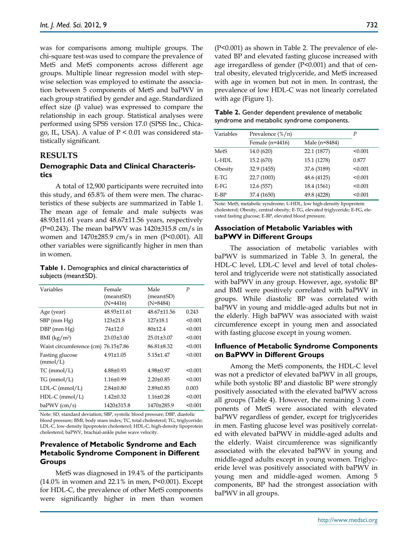was for comparisons among multiple groups. The chi-square test was used to compare the prevalence of MetS and MetS components across different age groups. Multiple linear regression model with stepwise selection was employed to estimate the association between 5 components of MetS and baPWV in each group stratified by gender and age. Standardized effect size (β value) was expressed to compare the relationship in each group. Statistical analyses were performed using SPSS version 17.0 (SPSS Inc., Chicago, IL, USA). A value of  $P \le 0.01$  was considered statistically significant.

## **RESULTS**

## **Demographic Data and Clinical Characteristics**

A total of 12,900 participants were recruited into this study, and 65.8% of them were men. The characteristics of these subjects are summarized in Table 1. The mean age of female and male subjects was 48.93±11.61 years and 48.67±11.56 years, respectively ( $P=0.243$ ). The mean baPWV was 1420 $\pm$ 315.8 cm/s in women and 1470±285.9 cm/s in men (P<0.001). All other variables were significantly higher in men than in women.

**Table 1.** Demographics and clinical characteristics of subjects (mean±SD).

| Variables                   | Female<br>(mean±SD)<br>$(N=4416)$ | Male<br>(mean±SD)<br>$(N=8484)$ | P       |
|-----------------------------|-----------------------------------|---------------------------------|---------|
| Age (year)                  | $48.93 \pm 11.61$                 | 48.67±11.56                     | 0.243   |
| SBP (mm Hg)                 | $123\pm21.8$                      | $127 \pm 18.1$                  | < 0.001 |
| $DBP$ (mm $Hg$ )            | 74±12.0                           | 80±12.4                         | < 0.001 |
| $BMI$ (kg/m <sup>2</sup> )  | $23.03\pm3.00$                    | $25.01 \pm 3.07$                | < 0.001 |
| Waist circumference (cm)    | 76.15±7.86                        | 86.81±8.32                      | < 0.001 |
| Fasting glucose<br>(mmol/L) | $4.91 \pm 1.05$                   | $5.15 \pm 1.47$                 | < 0.001 |
| $TC$ (mmol/L)               | 4.88±0.93                         | $4.98 \pm 0.97$                 | < 0.001 |
| $TG \, (mmol/L)$            | $1.16 \pm 0.99$                   | $2.20 \pm 0.85$                 | < 0.001 |
| $LDL-C$ (mmol/L)            | $2.84 \pm 0.80$                   | $2.89 \pm 0.85$                 | 0.003   |
| $HDL-C$ (mmol/L)            | $1.42 \pm 0.32$                   | $1.16 \pm 0.28$                 | < 0.001 |
| baPWV (cm/s)                | 1420±315.8                        | 1470±285.9                      | < 0.001 |

Note: SD, standard deviation; SBP, systolic blood pressure; DBP, diastolic blood pressure; BMI, body mass index; TC, total cholesterol; TG, triglyceride; LDL-C, low-density lipoprotein cholesterol; HDL-C, high-density lipoprotein cholesterol; baPWV, brachial-ankle pulse wave velocity.

# **Prevalence of Metabolic Syndrome and Each Metabolic Syndrome Component in Different Groups**

MetS was diagnosed in 19.4% of the participants (14.0% in women and 22.1% in men, P<0.001). Except for HDL-C, the prevalence of other MetS components were significantly higher in men than women

(P<0.001) as shown in Table 2. The prevalence of elevated BP and elevated fasting glucose increased with age irregardless of gender (P<0.001) and that of central obesity, elevated triglyceride, and MetS increased with age in women but not in men. In contrast, the prevalence of low HDL-C was not linearly correlated with age (Figure 1).

| Table 2. Gender dependent prevalence of metabolic |
|---------------------------------------------------|
| syndrome and metabolic syndrome components.       |

| Variables | Prevalence $(\frac{9}{n})$ | P             |         |
|-----------|----------------------------|---------------|---------|
|           | Female $(n=4416)$          | Male (n=8484) |         |
| MetS      | 14.0 (620)                 | 22.1 (1877)   | < 0.001 |
| L-HDL     | 15.2 (670)                 | 15.1 (1278)   | 0.877   |
| Obesity   | 32.9 (1455)                | 37.6 (3189)   | < 0.001 |
| $F-TC$    | 22.7 (1003)                | 48.6 (4125)   | < 0.001 |
| $F-FG$    | 12.6 (557)                 | 18.4 (1561)   | < 0.001 |
| E-BP      | 37.4 (1650)                | 49.8 (4228)   | < 0.001 |

Note: MetS, metabolic syndrome; L-HDL, low high-density lipoprotein cholesterol; Obesity, central obesity; E-TG, elevated triglyceride; E-FG, elevated fasting glucose; E-BP, elevated blood pressure.

#### **Association of Metabolic Variables with baPWV in Different Groups**

The association of metabolic variables with baPWV is summarized in Table 3. In general, the HDL-C level, LDL-C level and level of total cholesterol and triglyceride were not statistically associated with baPWV in any group. However, age, systolic BP and BMI were positively correlated with baPWV in groups. While diastolic BP was correlated with baPWV in young and middle-aged adults but not in the elderly. High baPWV was associated with waist circumference except in young men and associated with fasting glucose except in young women.

### **Influence of Metabolic Syndrome Components on BaPWV in Different Groups**

Among the MetS components, the HDL-C level was not a predictor of elevated baPWV in all groups, while both systolic BP and diastolic BP were strongly positively associated with the elevated baPWV across all groups (Table 4). However, the remaining 3 components of MetS were associated with elevated baPWV regardless of gender, except for triglycerides in men. Fasting glucose level was positively correlated with elevated baPWV in middle-aged adults and the elderly. Waist circumference was significantly associated with the elevated baPWV in young and middle-aged adults except in young women. Triglyceride level was positively associated with baPWV in young men and middle-aged women. Among 5 components, BP had the strongest association with baPWV in all groups.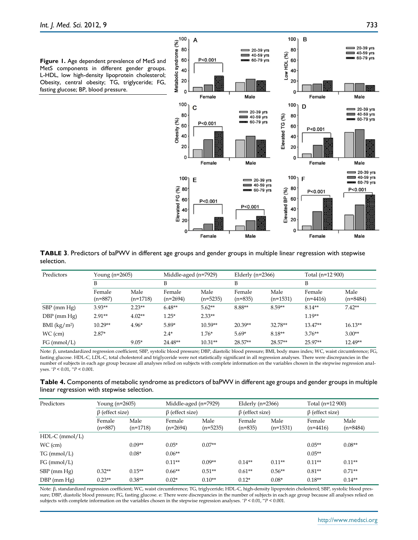**Figure 1.** Age dependent prevalence of MetS and MetS components in different gender groups. L-HDL, low high-density lipoprotein cholesterol; Obesity, central obesity; TG, triglyceride; FG, fasting glucose; BP, blood pressure.



**TABLE 3**. Predictors of baPWV in different age groups and gender groups in multiple linear regression with stepwise selection.

| Predictors       | Young $(n=2605)$    |                    | Middle-aged (n=7929) |                    | Elderly $(n=2366)$  |                    | Total (n=12 900)     |                    |
|------------------|---------------------|--------------------|----------------------|--------------------|---------------------|--------------------|----------------------|--------------------|
|                  | В                   |                    | В                    |                    | B                   |                    | B                    |                    |
|                  | Female<br>$(n=887)$ | Male<br>$(n=1718)$ | Female<br>$(n=2694)$ | Male<br>$(n=5235)$ | Female<br>$(n=835)$ | Male<br>$(n=1531)$ | Female<br>$(n=4416)$ | Male<br>$(n=8484)$ |
| $SBP$ (mm $Hg$ ) | $3.93**$            | $2.23**$           | $6.48**$             | $5.62**$           | 8.88**              | $8.59**$           | $8.14**$             | $7.42**$           |
| $DBP$ (mm $Hg$ ) | $2.91**$            | $4.02**$           | $1.25*$              | $2.33**$           |                     |                    | $1.19**$             |                    |
| BMI $(kg/m2)$    | $10.29**$           | $4.96*$            | $5.89*$              | $10.59**$          | $20.39**$           | $32.78**$          | $13.47**$            | $16.13**$          |
| $WC$ (cm)        | $2.87*$             |                    | $2.4*$               | $1.76*$            | $5.69*$             | $8.18**$           | $3.76**$             | $3.00**$           |
| $FG \, (mmol/L)$ |                     | $9.05*$            | 24.48**              | $10.31**$          | $28.57**$           | $28.57**$          | $25.97**$            | $12.49**$          |

Note: β, unstandardized regression coefficient; SBP, systolic blood pressure; DBP, diastolic blood pressure; BMI, body mass index; WC, waist circumference; FG, fasting glucose. HDL-C, LDL-C, total cholesterol and triglyceride were not statistically significant in all regression analyses. There were discrepancies in the number of subjects in each age group because all analyses relied on subjects with complete information on the variables chosen in the stepwise regression analyses. \**P* < 0.01, *\**\**P* < 0.001.

|                                            | Table 4. Components of metabolic syndrome as predictors of baPWV in different age groups and gender groups in multiple |  |  |
|--------------------------------------------|------------------------------------------------------------------------------------------------------------------------|--|--|
| linear regression with stepwise selection. |                                                                                                                        |  |  |

| Predictors       | Young (n=2605)        |                    | Middle-aged (n=7929)  |                    | Elderly $(n=2366)$    |                    | Total (n=12 900)      |                    |
|------------------|-----------------------|--------------------|-----------------------|--------------------|-----------------------|--------------------|-----------------------|--------------------|
|                  | $\beta$ (effect size) |                    | $\beta$ (effect size) |                    | $\beta$ (effect size) |                    | $\beta$ (effect size) |                    |
|                  | Female<br>$(n=887)$   | Male<br>$(n=1718)$ | Female<br>$(n=2694)$  | Male<br>$(n=5235)$ | Female<br>$(n=835)$   | Male<br>$(n=1531)$ | Female<br>$(n=4416)$  | Male<br>$(n=8484)$ |
| $HDL-C$ (mmol/L) |                       |                    |                       |                    |                       |                    |                       |                    |
| $WC$ (cm)        |                       | $0.09**$           | $0.05*$               | $0.07**$           |                       |                    | $0.05**$              | $0.08**$           |
| $TG \, (mmol/L)$ |                       | $0.08*$            | $0.06**$              |                    |                       |                    | $0.05**$              |                    |
| FG (mmol/L)      |                       |                    | $0.11**$              | $0.09**$           | $0.14**$              | $0.11**$           | $0.11**$              | $0.11**$           |
| SBP (mm Hg)      | $0.32**$              | $0.15**$           | $0.66**$              | $0.51**$           | $0.61**$              | $0.56**$           | $0.81**$              | $0.71**$           |
| $DBP$ (mm $Hg$ ) | $0.23**$              | $0.38**$           | $0.02*$               | $0.10**$           | $0.12*$               | $0.08*$            | $0.18**$              | $0.14**$           |

Note: β, standardized regression coefficient; WC, waist circumference; TG, triglyceride; HDL-C, high-density lipoprotein cholesterol; SBP, systolic blood pressure; DBP, diastolic blood pressure; FG, fasting glucose. e: There were discrepancies in the number of subjects in each age group because all analyses relied on subjects with complete information on the variables chosen in the stepwise regression analyses. \**P* < 0.01, \*\**P* < 0.001.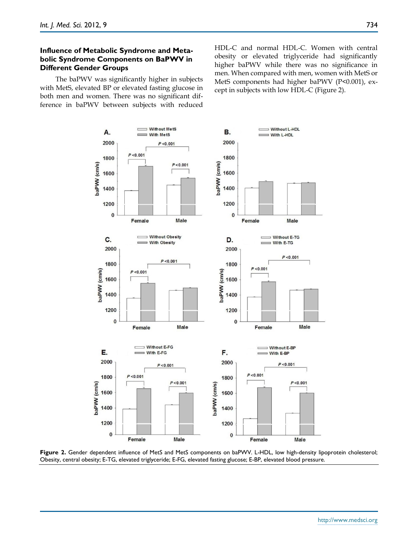## **Influence of Metabolic Syndrome and Metabolic Syndrome Components on BaPWV in Different Gender Groups**

The baPWV was significantly higher in subjects with MetS, elevated BP or elevated fasting glucose in both men and women. There was no significant difference in baPWV between subjects with reduced HDL-C and normal HDL-C. Women with central obesity or elevated triglyceride had significantly higher baPWV while there was no significance in men. When compared with men, women with MetS or MetS components had higher baPWV (P<0.001), except in subjects with low HDL-C (Figure 2).



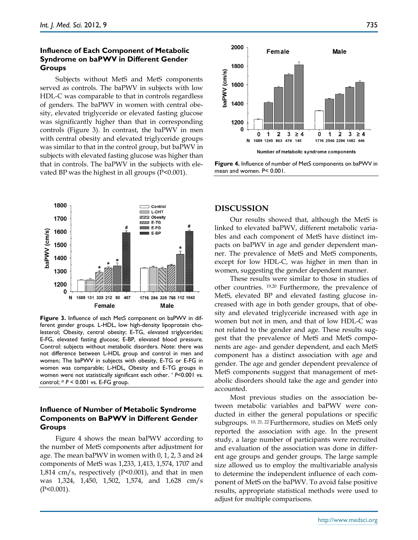## **Influence of Each Component of Metabolic Syndrome on baPWV in Different Gender Groups**

Subjects without MetS and MetS components served as controls. The baPWV in subjects with low HDL-C was comparable to that in controls regardless of genders. The baPWV in women with central obesity, elevated triglyceride or elevated fasting glucose was significantly higher than that in corresponding controls (Figure 3). In contrast, the baPWV in men with central obesity and elevated triglyceride groups was similar to that in the control group, but baPWV in subjects with elevated fasting glucose was higher than that in controls. The baPWV in the subjects with elevated BP was the highest in all groups (P<0.001).



**Figure 3.** Influence of each MetS component on baPWV in different gender groups. L-HDL, low high-density lipoprotein cholesterol; Obesity, central obesity; E-TG, elevated triglycerides; E-FG, elevated fasting glucose; E-BP, elevated blood pressure. Control: subjects without metabolic disorders. Note: there was not difference between L-HDL group and control in men and women; The baPWV in subjects with obesity, E-TG or E-FG in women was comparable; L-HDL, Obesity and E-TG groups in women were not statistically significant each other. \* *P*<0.001 vs. control; # *P* < 0.001 vs. E-FG group.

# **Influence of Number of Metabolic Syndrome Components on BaPWV in Different Gender Groups**

Figure 4 shows the mean baPWV according to the number of MetS components after adjustment for age. The mean baPWV in women with 0, 1, 2, 3 and  $\geq 4$ components of MetS was 1,233, 1,413, 1,574, 1707 and 1,814 cm/s, respectively  $(P<0.001)$ , and that in men was 1,324, 1,450, 1,502, 1,574, and 1,628 cm/s (P<0.001).



**Figure 4.** Influence of number of MetS components on baPWV in mean and women. P< 0.001.

#### **DISCUSSION**

Our results showed that, although the MetS is linked to elevated baPWV, different metabolic variables and each component of MetS have distinct impacts on baPWV in age and gender dependent manner. The prevalence of MetS and MetS components, except for low HDL-C, was higher in men than in women, suggesting the gender dependent manner.

These results were similar to those in studies of other countries. 19,20 Furthermore, the prevalence of MetS, elevated BP and elevated fasting glucose increased with age in both gender groups, that of obesity and elevated triglyceride increased with age in women but not in men, and that of low HDL-C was not related to the gender and age. These results suggest that the prevalence of MetS and MetS components are age- and gender dependent, and each MetS component has a distinct association with age and gender. The age and gender dependent prevalence of MetS components suggest that management of metabolic disorders should take the age and gender into accounted.

Most previous studies on the association between metabolic variables and baPWV were conducted in either the general populations or specific subgroups. <sup>10, 21, 22</sup> Furthermore, studies on MetS only reported the association with age. In the present study, a large number of participants were recruited and evaluation of the association was done in different age groups and gender groups. The large sample size allowed us to employ the multivariable analysis to determine the independent influence of each component of MetS on the baPWV. To avoid false positive results, appropriate statistical methods were used to adjust for multiple comparisons.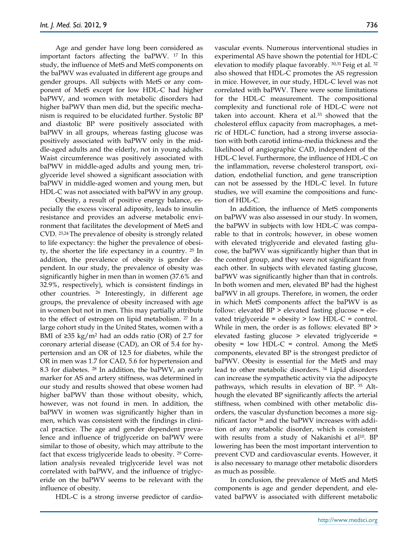Age and gender have long been considered as important factors affecting the baPWV. 17 In this study, the influence of MetS and MetS components on the baPWV was evaluated in different age groups and gender groups. All subjects with MetS or any component of MetS except for low HDL-C had higher baPWV, and women with metabolic disorders had higher baPWV than men did, but the specific mechanism is required to be elucidated further. Systolic BP and diastolic BP were positively associated with baPWV in all groups, whereas fasting glucose was positively associated with baPWV only in the middle-aged adults and the elderly, not in young adults. Waist circumference was positively associated with baPWV in middle-aged adults and young men, triglyceride level showed a significant association with baPWV in middle-aged women and young men, but HDL-C was not associated with baPWV in any group.

Obesity, a result of positive energy balance, especially the excess visceral adiposity, leads to insulin resistance and provides an adverse metabolic environment that facilitates the development of MetS and CVD. 23,24 The prevalence of obesity is strongly related to life expectancy: the higher the prevalence of obesity, the shorter the life expectancy in a country. <sup>25</sup> In addition, the prevalence of obesity is gender dependent. In our study, the prevalence of obesity was significantly higher in men than in women (37.6% and 32.9%, respectively), which is consistent findings in other countries. <sup>26</sup> Interestingly, in different age groups, the prevalence of obesity increased with age in women but not in men. This may partially attribute to the effect of estrogen on lipid metabolism. <sup>27</sup> In a large cohort study in the United States, women with a BMI of  $\geq$ 35 kg/m<sup>2</sup> had an odds ratio (OR) of 2.7 for coronary arterial disease (CAD), an OR of 5.4 for hypertension and an OR of 12.5 for diabetes, while the OR in men was 1.7 for CAD, 5.6 for hypertension and 8.3 for diabetes. <sup>28</sup> In addition, the baPWV, an early marker for AS and artery stiffness, was determined in our study and results showed that obese women had higher baPWV than those without obesity, which, however, was not found in men. In addition, the baPWV in women was significantly higher than in men, which was consistent with the findings in clinical practice. The age and gender dependent prevalence and influence of triglyceride on baPWV were similar to those of obesity, which may attribute to the fact that excess triglyceride leads to obesity. <sup>29</sup> Correlation analysis revealed triglyceride level was not correlated with baPWV, and the influence of triglyceride on the baPWV seems to be relevant with the influence of obesity.

HDL-C is a strong inverse predictor of cardio-

vascular events. Numerous interventional studies in experimental AS have shown the potential for HDL-C elevation to modify plaque favorably. 30,31 Feig et al. <sup>32</sup> also showed that HDL-C promotes the AS regression in mice. However, in our study, HDL-C level was not correlated with baPWV. There were some limitations for the HDL-C measurement. The compositional complexity and functional role of HDL-C were not taken into account. Khera et al.<sup>33</sup> showed that the cholesterol efflux capacity from macrophages, a metric of HDL-C function, had a strong inverse association with both carotid intima-media thickness and the likelihood of angiographic CAD, independent of the HDL-C level. Furthermore, the influence of HDL-C on the inflammation, reverse cholesterol transport, oxidation, endothelial function, and gene transcription can not be assessed by the HDL-C level. In future studies, we will examine the compositions and function of HDL-C.

In addition, the influence of MetS components on baPWV was also assessed in our study. In women, the baPWV in subjects with low HDL-C was comparable to that in controls; however, in obese women with elevated triglyceride and elevated fasting glucose, the baPWV was significantly higher than that in the control group, and they were not significant from each other. In subjects with elevated fasting glucose, baPWV was significantly higher than that in controls. In both women and men, elevated BP had the highest baPWV in all groups. Therefore, in women, the order in which MetS components affect the baPWV is as follow: elevated  $BP >$  elevated fasting glucose = elevated triglyceride = obesity > low HDL-C = control. While in men, the order is as follows: elevated BP > elevated fasting glucose > elevated triglyceride = obesity = low HDL- $C$  = control. Among the MetS components, elevated BP is the strongest predictor of baPWV. Obesity is essential for the MetS and may lead to other metabolic disorders. <sup>34</sup> Lipid disorders can increase the sympathetic activity via the adipocyte pathways, which results in elevation of BP. <sup>35</sup> Although the elevated BP significantly affects the arterial stiffness, when combined with other metabolic disorders, the vascular dysfunction becomes a more significant factor <sup>36</sup> and the baPWV increases with addition of any metabolic disorder, which is consistent with results from a study of Nakanishi et al<sup>10</sup>. BP lowering has been the most important intervention to prevent CVD and cardiovascular events. However, it is also necessary to manage other metabolic disorders as much as possible.

In conclusion, the prevalence of MetS and MetS components is age and gender dependent, and elevated baPWV is associated with different metabolic